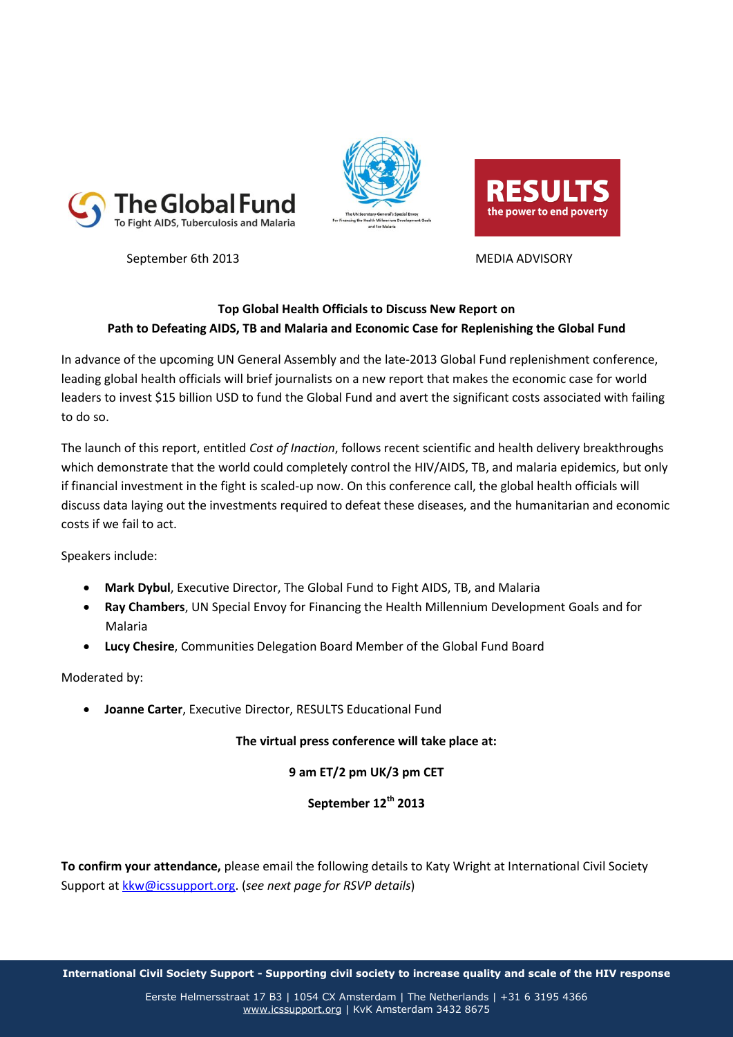







## **Top Global Health Officials to Discuss New Report on Path to Defeating AIDS, TB and Malaria and Economic Case for Replenishing the Global Fund**

In advance of the upcoming UN General Assembly and the late-2013 Global Fund replenishment conference, leading global health officials will brief journalists on a new report that makes the economic case for world leaders to invest \$15 billion USD to fund the Global Fund and avert the significant costs associated with failing to do so.

The launch of this report, entitled *Cost of Inaction*, follows recent scientific and health delivery breakthroughs which demonstrate that the world could completely control the HIV/AIDS, TB, and malaria epidemics, but only if financial investment in the fight is scaled-up now. On this conference call, the global health officials will discuss data laying out the investments required to defeat these diseases, and the humanitarian and economic costs if we fail to act.

Speakers include:

- **Mark Dybul**, Executive Director, The Global Fund to Fight AIDS, TB, and Malaria
- **Ray Chambers**, UN Special Envoy for Financing the Health Millennium Development Goals and for Malaria
- **Lucy Chesire**, Communities Delegation Board Member of the Global Fund Board

Moderated by:

**Joanne Carter**, Executive Director, RESULTS Educational Fund

## **The virtual press conference will take place at:**

## **9 am ET/2 pm UK/3 pm CET**

**September 12th 2013**

**To confirm your attendance,** please email the following details to Katy Wright at International Civil Society Support at [kkw@icssupport.org.](mailto:kkw@icssupport.org) (*see next page for RSVP details*)